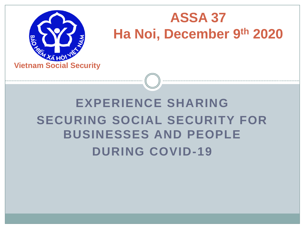

#### **ASSA 37 Ha Noi, December 9th 2020**

#### **EXPERIENCE SHARING SECURING SOCIAL SECURITY FOR BUSINESSES AND PEOPLE DURING COVID-19**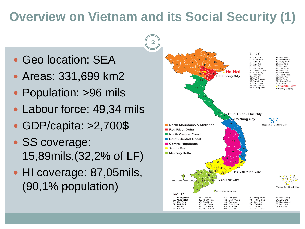#### **Overview on Vietnam and its Social Security (1)**

- Geo location: SEA
- Areas: 331,699 km2
- Population: >96 mils
- Labour force: 49,34 mils
- GDP/capita: >2,700\$
- SS coverage: 15,89mils,(32,2% of LF)
- HI coverage: 87,05mils, (90,1% population)

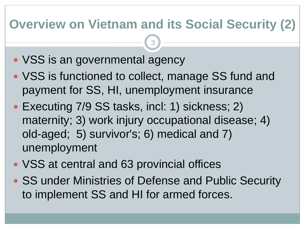#### **Overview on Vietnam and its Social Security (2)**

- VSS is an governmental agency
- VSS is functioned to collect, manage SS fund and payment for SS, HI, unemployment insurance
- Executing 7/9 SS tasks, incl: 1) sickness; 2) maternity; 3) work injury occupational disease; 4) old-aged; 5) survivor's; 6) medical and 7) unemployment
- VSS at central and 63 provincial offices
- SS under Ministries of Defense and Public Security to implement SS and HI for armed forces.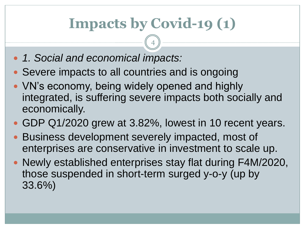## **Impacts by Covid-19 (1)**

- *1. Social and economical impacts:*
- Severe impacts to all countries and is ongoing
- VN's economy, being widely opened and highly integrated, is suffering severe impacts both socially and economically.
- GDP Q1/2020 grew at 3.82%, lowest in 10 recent years.
- Business development severely impacted, most of enterprises are conservative in investment to scale up.
- Newly established enterprises stay flat during F4M/2020, those suspended in short-term surged y-o-y (up by 33.6%)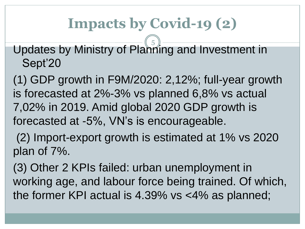### **Impacts by Covid-19 (2)**

Updates by Ministry of Planning and Investment in Sept'20 5

(1) GDP growth in F9M/2020: 2,12%; full-year growth is forecasted at 2%-3% vs planned 6,8% vs actual 7,02% in 2019. Amid global 2020 GDP growth is forecasted at -5%, VN's is encourageable.

(2) Import-export growth is estimated at 1% vs 2020 plan of 7%.

(3) Other 2 KPIs failed: urban unemployment in working age, and labour force being trained. Of which, the former KPI actual is 4.39% vs <4% as planned;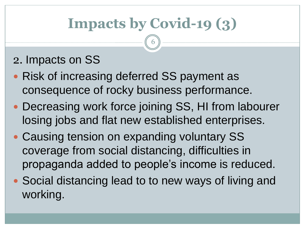## **Impacts by Covid-19 (3)**

6

#### 2. Impacts on SS

- Risk of increasing deferred SS payment as consequence of rocky business performance.
- Decreasing work force joining SS, HI from labourer losing jobs and flat new established enterprises.
- Causing tension on expanding voluntary SS coverage from social distancing, difficulties in propaganda added to people's income is reduced.
- Social distancing lead to to new ways of living and working.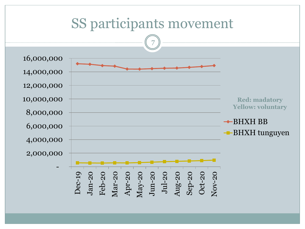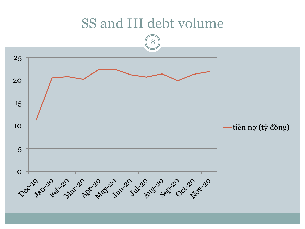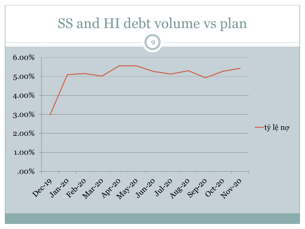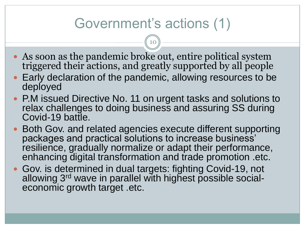#### Government's actions (1)

- As soon as the pandemic broke out, entire political system triggered their actions, and greatly supported by all people
- Early declaration of the pandemic, allowing resources to be deployed
- P.M issued Directive No. 11 on urgent tasks and solutions to relax challenges to doing business and assuring SS during Covid-19 battle.
- Both Gov. and related agencies execute different supporting packages and practical solutions to increase business' resilience, gradually normalize or adapt their performance, enhancing digital transformation and trade promotion .etc.
- Gov. is determined in dual targets: fighting Covid-19, not allowing 3<sup>rd</sup> wave in parallel with highest possible socialeconomic growth target .etc.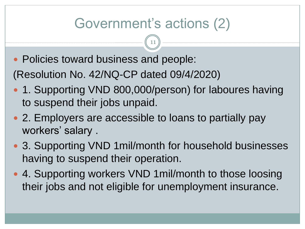#### Government's actions (2)

11

• Policies toward business and people:

(Resolution No. 42/NQ-CP dated 09/4/2020)

- 1. Supporting VND 800,000/person) for laboures having to suspend their jobs unpaid.
- 2. Employers are accessible to loans to partially pay workers' salary .
- 3. Supporting VND 1 mil/month for household businesses having to suspend their operation.
- 4. Supporting workers VND 1 mil/month to those loosing their jobs and not eligible for unemployment insurance.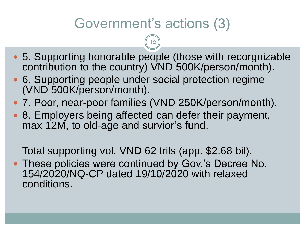#### Government's actions (3)

12

- 5. Supporting honorable people (those with recorgnizable contribution to the country) VND 500K/person/month).
- 6. Supporting people under social protection regime (VND 500K/person/month).
- 7. Poor, near-poor families (VND 250K/person/month).
- 8. Employers being affected can defer their payment, max 12M, to old-age and survior's fund.

Total supporting vol. VND 62 trils (app. \$2.68 bil).

 These policies were continued by Gov.'s Decree No. 154/2020/NQ-CP dated 19/10/2020 with relaxed conditions.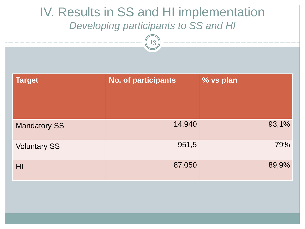| IV. Results in SS and HI implementation<br>Developing participants to SS and HI<br>13 |                            |           |  |  |  |
|---------------------------------------------------------------------------------------|----------------------------|-----------|--|--|--|
| <b>Target</b>                                                                         | <b>No. of participants</b> | % vs plan |  |  |  |
| <b>Mandatory SS</b>                                                                   | 14.940                     | 93,1%     |  |  |  |
| <b>Voluntary SS</b>                                                                   | 951,5                      | 79%       |  |  |  |
| HI                                                                                    | 87.050                     | 89,9%     |  |  |  |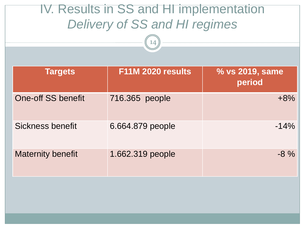# **Targets F11M 2020 results % vs 2019, same period** One-off SS benefit 716.365 people and the contract the  $+8\%$ Sickness benefit 6.664.879 people 6.664.879 people Maternity benefit 1.662.319 people and the same set of  $\frac{8}{3}$ IV. Results in SS and HI implementation *Delivery of SS and HI regimes* 14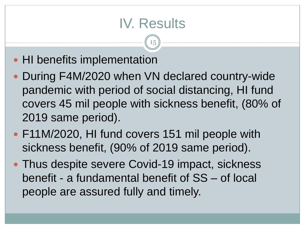#### IV. Results

- HI benefits implementation
- During F4M/2020 when VN declared country-wide pandemic with period of social distancing, HI fund covers 45 mil people with sickness benefit, (80% of 2019 same period).
- F11M/2020, HI fund covers 151 mil people with sickness benefit, (90% of 2019 same period).
- Thus despite severe Covid-19 impact, sickness benefit - a fundamental benefit of SS – of local people are assured fully and timely.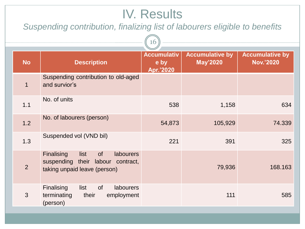#### IV. Results

*Suspending contribution, finalizing list of labourers eligible to benefits*

 $\bigcap$ 

| ŦΩ             |                                                                                                                                    |                                         |                                           |                                            |  |
|----------------|------------------------------------------------------------------------------------------------------------------------------------|-----------------------------------------|-------------------------------------------|--------------------------------------------|--|
| <b>No</b>      | <b>Description</b>                                                                                                                 | <b>Accumulativ</b><br>e by<br>Apr.'2020 | <b>Accumulative by</b><br><b>May'2020</b> | <b>Accumulative by</b><br><b>Nov.'2020</b> |  |
| $\mathbf 1$    | Suspending contribution to old-aged<br>and survior's                                                                               |                                         |                                           |                                            |  |
| 1.1            | No. of units                                                                                                                       | 538                                     | 1,158                                     | 634                                        |  |
| 1.2            | No. of labourers (person)                                                                                                          | 54,873                                  | 105,929                                   | 74.339                                     |  |
| 1.3            | Suspended vol (VND bil)                                                                                                            | 221                                     | 391                                       | 325                                        |  |
| $\overline{2}$ | <b>Finalising</b><br><b>of</b><br><b>labourers</b><br>list<br>suspending<br>their labour contract,<br>taking unpaid leave (person) |                                         | 79,936                                    | 168.163                                    |  |
| 3              | <b>Finalising</b><br><b>of</b><br><b>labourers</b><br>list<br>terminating<br>their<br>employment<br>(person)                       |                                         | 111                                       | 585                                        |  |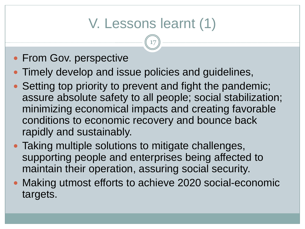### V. Lessons learnt (1)

- From Gov. perspective
- Timely develop and issue policies and guidelines,
- Setting top priority to prevent and fight the pandemic; assure absolute safety to all people; social stabilization; minimizing economical impacts and creating favorable conditions to economic recovery and bounce back rapidly and sustainably.
- Taking multiple solutions to mitigate challenges, supporting people and enterprises being affected to maintain their operation, assuring social security.
- Making utmost efforts to achieve 2020 social-economic targets.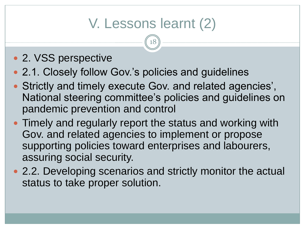### V. Lessons learnt (2)

- 2. VSS perspective
- 2.1. Closely follow Gov.'s policies and guidelines
- Strictly and timely execute Gov. and related agencies', National steering committee's policies and guidelines on pandemic prevention and control
- Timely and regularly report the status and working with Gov. and related agencies to implement or propose supporting policies toward enterprises and labourers, assuring social security.
- 2.2. Developing scenarios and strictly monitor the actual status to take proper solution.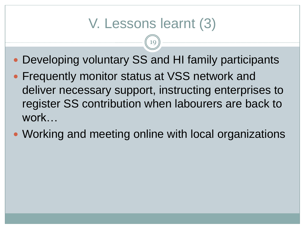#### V. Lessons learnt (3)

- Developing voluntary SS and HI family participants
- **Frequently monitor status at VSS network and** deliver necessary support, instructing enterprises to register SS contribution when labourers are back to work…
- Working and meeting online with local organizations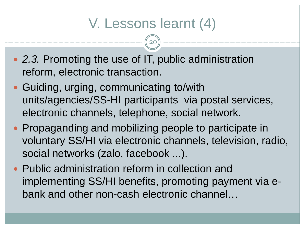#### V. Lessons learnt (4)

- *2.3.* Promoting the use of IT, public administration reform, electronic transaction.
- Guiding, urging, communicating to/with units/agencies/SS-HI participants via postal services, electronic channels, telephone, social network.
- Propaganding and mobilizing people to participate in voluntary SS/HI via electronic channels, television, radio, social networks (zalo, facebook ...).
- Public administration reform in collection and implementing SS/HI benefits, promoting payment via ebank and other non-cash electronic channel…